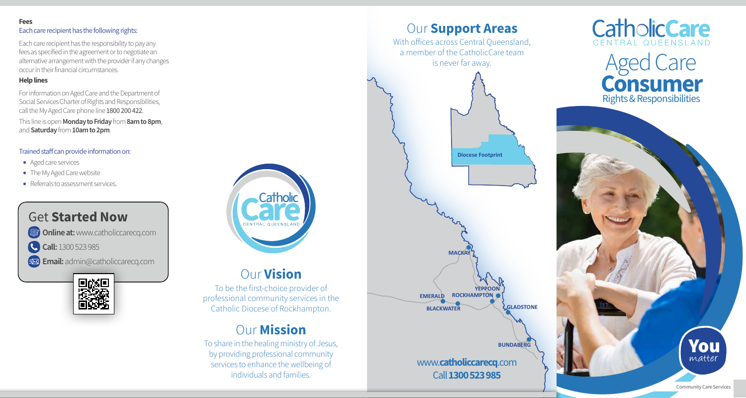#### Fees Each care recipient has the following rights:

Each care recipient has the responsibility to pay any fees as specified in the agreement or to negotiate an alternative arrangement with the provider if any changes occur in their financial circumstances.

# Help lines

For information on Aged Care and the Department of Social Services Charter of Rights and Responsibilities, call the My Aged Care phone line 1800 200 422. This line is open **Monday to Friday** from **8am to 8pm**. and Saturday from 10am to 2pm.

# Trained staff can provide information on:

- Aged care services
- The My Aged Care website
- Referrals to assessment services.







# Our Vision

To be the first-choice provider of professional community services in the Catholic Diocese of Rockhampton.

# **Our Mission**

To share in the healing ministry of Jesus, by providing professional community services to enhance the wellbeing of individuals and families.



With offices across Central Queensland, a member of the CatholicCare team is never far away.